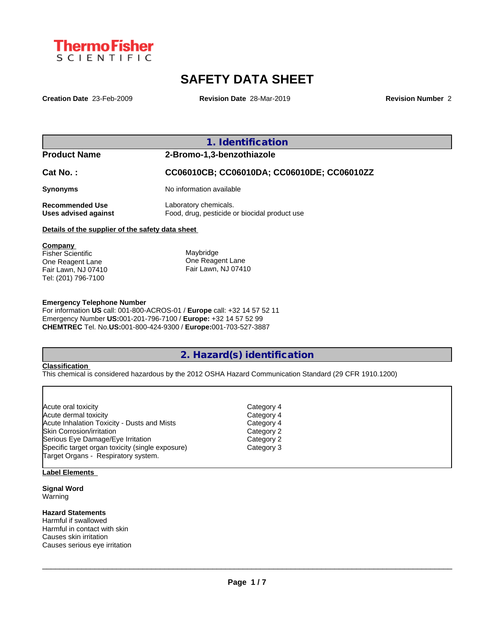

# **SAFETY DATA SHEET**

**Creation Date** 23-Feb-2009 **Revision Date** 28-Mar-2019 **Revision Number** 2

|                                                                                | 1. Identification                                                      |
|--------------------------------------------------------------------------------|------------------------------------------------------------------------|
| <b>Product Name</b>                                                            | 2-Bromo-1,3-benzothiazole                                              |
| $Cat No.$ :                                                                    | CC06010CB; CC06010DA; CC06010DE; CC06010ZZ                             |
| <b>Synonyms</b>                                                                | No information available                                               |
| <b>Recommended Use</b><br>Uses advised against                                 | Laboratory chemicals.<br>Food, drug, pesticide or biocidal product use |
| Details of the supplier of the safety data sheet                               |                                                                        |
| Company<br><b>Fisher Scientific</b><br>One Reagent Lane<br>Fair Lawn, NJ 07410 | Maybridge<br>One Reagent Lane<br>Fair Lawn, NJ 07410                   |

#### **Emergency Telephone Number**

For information **US** call: 001-800-ACROS-01 / **Europe** call: +32 14 57 52 11 Emergency Number **US:**001-201-796-7100 / **Europe:** +32 14 57 52 99 **CHEMTREC** Tel. No.**US:**001-800-424-9300 / **Europe:**001-703-527-3887

# **2. Hazard(s) identification**

# **Classification**

Tel: (201) 796-7100

This chemical is considered hazardous by the 2012 OSHA Hazard Communication Standard (29 CFR 1910.1200)

| Acute oral toxicity                              | Category 4 |
|--------------------------------------------------|------------|
| Acute dermal toxicity                            | Category 4 |
| Acute Inhalation Toxicity - Dusts and Mists      | Category 4 |
| Skin Corrosion/irritation                        | Category 2 |
| Serious Eye Damage/Eye Irritation                | Category 2 |
| Specific target organ toxicity (single exposure) | Category 3 |
| Target Organs - Respiratory system.              |            |
|                                                  |            |

## **Label Elements**

**Signal Word** Warning

#### **Hazard Statements**

Harmful if swallowed Harmful in contact with skin Causes skin irritation Causes serious eye irritation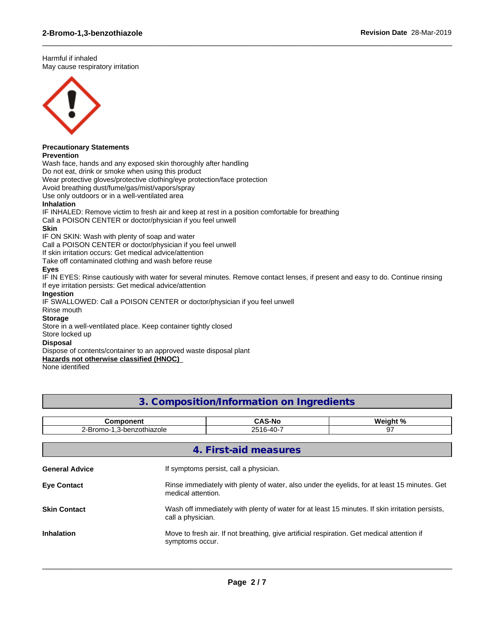Harmful if inhaled May cause respiratory irritation



# **Precautionary Statements**

## **Prevention**

Wash face, hands and any exposed skin thoroughly after handling

Do not eat, drink or smoke when using this product

Wear protective gloves/protective clothing/eye protection/face protection

Avoid breathing dust/fume/gas/mist/vapors/spray

Use only outdoors or in a well-ventilated area

#### **Inhalation**

IF INHALED: Remove victim to fresh air and keep at rest in a position comfortable for breathing

Call a POISON CENTER or doctor/physician if you feel unwell

## **Skin**

IF ON SKIN: Wash with plenty of soap and water

Call a POISON CENTER or doctor/physician if you feel unwell

If skin irritation occurs: Get medical advice/attention

Take off contaminated clothing and wash before reuse

# **Eyes**

IF IN EYES: Rinse cautiously with water for several minutes. Remove contact lenses, if present and easy to do. Continue rinsing If eye irritation persists: Get medical advice/attention

 $\_$  ,  $\_$  ,  $\_$  ,  $\_$  ,  $\_$  ,  $\_$  ,  $\_$  ,  $\_$  ,  $\_$  ,  $\_$  ,  $\_$  ,  $\_$  ,  $\_$  ,  $\_$  ,  $\_$  ,  $\_$  ,  $\_$  ,  $\_$  ,  $\_$  ,  $\_$  ,  $\_$  ,  $\_$  ,  $\_$  ,  $\_$  ,  $\_$  ,  $\_$  ,  $\_$  ,  $\_$  ,  $\_$  ,  $\_$  ,  $\_$  ,  $\_$  ,  $\_$  ,  $\_$  ,  $\_$  ,  $\_$  ,  $\_$  ,

## **Ingestion**

IF SWALLOWED: Call a POISON CENTER or doctor/physician if you feel unwell

# Rinse mouth

# **Storage**

Store in a well-ventilated place. Keep container tightly closed

#### Store locked up

#### **Disposal**

Dispose of contents/container to an approved waste disposal plant

**Hazards not otherwise classified (HNOC)**

None identified

# **3. Composition/Information on Ingredients**

| <b>Component</b>          |                 | <b>CAS-No</b>                                                                                                        | Weight % |  |  |
|---------------------------|-----------------|----------------------------------------------------------------------------------------------------------------------|----------|--|--|
| 2-Bromo-1,3-benzothiazole |                 | 2516-40-7                                                                                                            | 97       |  |  |
|                           |                 |                                                                                                                      |          |  |  |
|                           |                 | 4. First-aid measures                                                                                                |          |  |  |
| <b>General Advice</b>     |                 | If symptoms persist, call a physician.                                                                               |          |  |  |
| <b>Eye Contact</b>        |                 | Rinse immediately with plenty of water, also under the eyelids, for at least 15 minutes. Get<br>medical attention.   |          |  |  |
| <b>Skin Contact</b>       |                 | Wash off immediately with plenty of water for at least 15 minutes. If skin irritation persists,<br>call a physician. |          |  |  |
| <b>Inhalation</b>         | symptoms occur. | Move to fresh air. If not breathing, give artificial respiration. Get medical attention if                           |          |  |  |
|                           |                 |                                                                                                                      |          |  |  |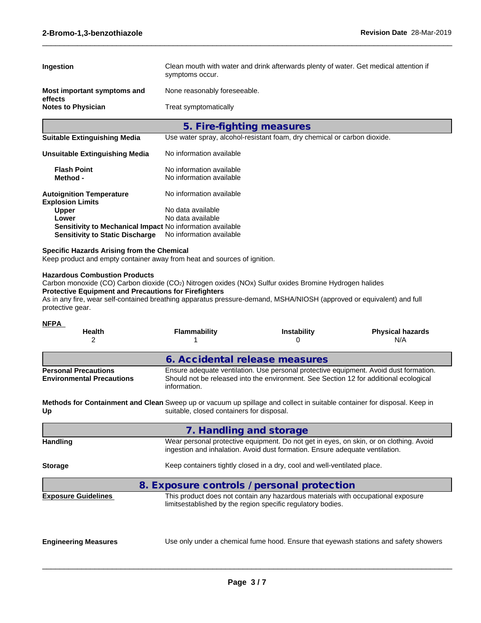| Ingestion                                                                                                                                                                                                                                                                                                           |                                                                                  | Clean mouth with water and drink afterwards plenty of water. Get medical attention if                                                                                  |                                |  |  |  |
|---------------------------------------------------------------------------------------------------------------------------------------------------------------------------------------------------------------------------------------------------------------------------------------------------------------------|----------------------------------------------------------------------------------|------------------------------------------------------------------------------------------------------------------------------------------------------------------------|--------------------------------|--|--|--|
|                                                                                                                                                                                                                                                                                                                     | symptoms occur.                                                                  |                                                                                                                                                                        |                                |  |  |  |
| Most important symptoms and<br>effects                                                                                                                                                                                                                                                                              |                                                                                  | None reasonably foreseeable.                                                                                                                                           |                                |  |  |  |
| <b>Notes to Physician</b>                                                                                                                                                                                                                                                                                           | Treat symptomatically                                                            |                                                                                                                                                                        |                                |  |  |  |
|                                                                                                                                                                                                                                                                                                                     |                                                                                  | 5. Fire-fighting measures                                                                                                                                              |                                |  |  |  |
| <b>Suitable Extinguishing Media</b>                                                                                                                                                                                                                                                                                 |                                                                                  | Use water spray, alcohol-resistant foam, dry chemical or carbon dioxide.                                                                                               |                                |  |  |  |
| <b>Unsuitable Extinguishing Media</b>                                                                                                                                                                                                                                                                               | No information available                                                         |                                                                                                                                                                        |                                |  |  |  |
| <b>Flash Point</b><br>Method -                                                                                                                                                                                                                                                                                      | No information available<br>No information available                             |                                                                                                                                                                        |                                |  |  |  |
| <b>Autoignition Temperature</b><br><b>Explosion Limits</b>                                                                                                                                                                                                                                                          | No information available                                                         |                                                                                                                                                                        |                                |  |  |  |
| <b>Upper</b>                                                                                                                                                                                                                                                                                                        | No data available<br>No data available                                           |                                                                                                                                                                        |                                |  |  |  |
| Lower<br>Sensitivity to Mechanical Impact No information available                                                                                                                                                                                                                                                  |                                                                                  |                                                                                                                                                                        |                                |  |  |  |
| <b>Sensitivity to Static Discharge</b>                                                                                                                                                                                                                                                                              | No information available                                                         |                                                                                                                                                                        |                                |  |  |  |
| <b>Specific Hazards Arising from the Chemical</b><br>Keep product and empty container away from heat and sources of ignition.                                                                                                                                                                                       |                                                                                  |                                                                                                                                                                        |                                |  |  |  |
| Carbon monoxide (CO) Carbon dioxide (CO2) Nitrogen oxides (NOx) Sulfur oxides Bromine Hydrogen halides<br><b>Protective Equipment and Precautions for Firefighters</b><br>As in any fire, wear self-contained breathing apparatus pressure-demand, MSHA/NIOSH (approved or equivalent) and full<br>protective gear. |                                                                                  |                                                                                                                                                                        |                                |  |  |  |
| <b>NFPA</b>                                                                                                                                                                                                                                                                                                         |                                                                                  |                                                                                                                                                                        |                                |  |  |  |
| Health<br>2                                                                                                                                                                                                                                                                                                         | Flammability<br>1                                                                | <b>Instability</b><br>0                                                                                                                                                | <b>Physical hazards</b><br>N/A |  |  |  |
|                                                                                                                                                                                                                                                                                                                     |                                                                                  |                                                                                                                                                                        |                                |  |  |  |
| <b>Personal Precautions</b>                                                                                                                                                                                                                                                                                         |                                                                                  | 6. Accidental release measures<br>Ensure adequate ventilation. Use personal protective equipment. Avoid dust formation.                                                |                                |  |  |  |
| <b>Environmental Precautions</b>                                                                                                                                                                                                                                                                                    | information.                                                                     | Should not be released into the environment. See Section 12 for additional ecological                                                                                  |                                |  |  |  |
| Methods for Containment and Clean Sweep up or vacuum up spillage and collect in suitable container for disposal. Keep in<br>Up                                                                                                                                                                                      | suitable, closed containers for disposal.                                        |                                                                                                                                                                        |                                |  |  |  |
|                                                                                                                                                                                                                                                                                                                     | 7. Handling and storage                                                          |                                                                                                                                                                        |                                |  |  |  |
| <b>Handling</b>                                                                                                                                                                                                                                                                                                     |                                                                                  | Wear personal protective equipment. Do not get in eyes, on skin, or on clothing. Avoid<br>ingestion and inhalation. Avoid dust formation. Ensure adequate ventilation. |                                |  |  |  |
| <b>Storage</b>                                                                                                                                                                                                                                                                                                      |                                                                                  | Keep containers tightly closed in a dry, cool and well-ventilated place.                                                                                               |                                |  |  |  |
|                                                                                                                                                                                                                                                                                                                     |                                                                                  | 8. Exposure controls / personal protection                                                                                                                             |                                |  |  |  |
| <b>Exposure Guidelines</b>                                                                                                                                                                                                                                                                                          | This product does not contain any hazardous materials with occupational exposure |                                                                                                                                                                        |                                |  |  |  |

 $\_$  ,  $\_$  ,  $\_$  ,  $\_$  ,  $\_$  ,  $\_$  ,  $\_$  ,  $\_$  ,  $\_$  ,  $\_$  ,  $\_$  ,  $\_$  ,  $\_$  ,  $\_$  ,  $\_$  ,  $\_$  ,  $\_$  ,  $\_$  ,  $\_$  ,  $\_$  ,  $\_$  ,  $\_$  ,  $\_$  ,  $\_$  ,  $\_$  ,  $\_$  ,  $\_$  ,  $\_$  ,  $\_$  ,  $\_$  ,  $\_$  ,  $\_$  ,  $\_$  ,  $\_$  ,  $\_$  ,  $\_$  ,  $\_$  ,

**Engineering Measures**

Use only under a chemical fume hood. Ensure that eyewash stations and safety showers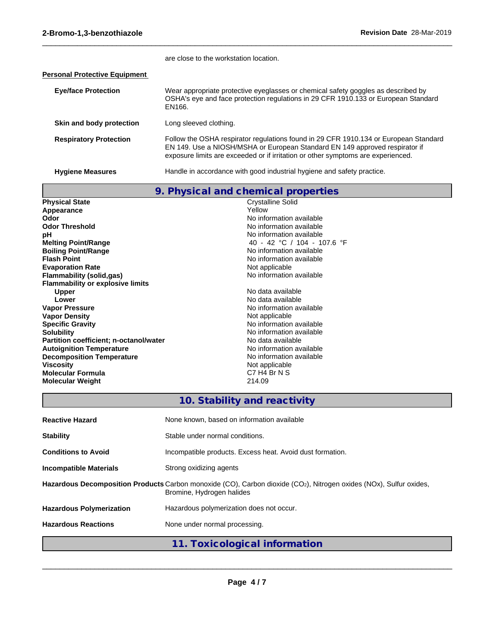|                                      | are close to the workstation location.                                                                                                                                                                                                                  |
|--------------------------------------|---------------------------------------------------------------------------------------------------------------------------------------------------------------------------------------------------------------------------------------------------------|
| <b>Personal Protective Equipment</b> |                                                                                                                                                                                                                                                         |
| <b>Eye/face Protection</b>           | Wear appropriate protective eyeglasses or chemical safety goggles as described by<br>OSHA's eye and face protection regulations in 29 CFR 1910.133 or European Standard<br>EN166.                                                                       |
| Skin and body protection             | Long sleeved clothing.                                                                                                                                                                                                                                  |
| <b>Respiratory Protection</b>        | Follow the OSHA respirator regulations found in 29 CFR 1910.134 or European Standard<br>EN 149. Use a NIOSH/MSHA or European Standard EN 149 approved respirator if<br>exposure limits are exceeded or if irritation or other symptoms are experienced. |
|                                      |                                                                                                                                                                                                                                                         |

ſ

Hygiene Measures **Handle** in accordance with good industrial hygiene and safety practice.

 $\_$  ,  $\_$  ,  $\_$  ,  $\_$  ,  $\_$  ,  $\_$  ,  $\_$  ,  $\_$  ,  $\_$  ,  $\_$  ,  $\_$  ,  $\_$  ,  $\_$  ,  $\_$  ,  $\_$  ,  $\_$  ,  $\_$  ,  $\_$  ,  $\_$  ,  $\_$  ,  $\_$  ,  $\_$  ,  $\_$  ,  $\_$  ,  $\_$  ,  $\_$  ,  $\_$  ,  $\_$  ,  $\_$  ,  $\_$  ,  $\_$  ,  $\_$  ,  $\_$  ,  $\_$  ,  $\_$  ,  $\_$  ,  $\_$  ,

|                                               | 9. Physical and chemical properties |
|-----------------------------------------------|-------------------------------------|
| <b>Physical State</b>                         | <b>Crystalline Solid</b>            |
| Appearance                                    | Yellow                              |
| Odor                                          | No information available            |
| <b>Odor Threshold</b>                         | No information available            |
| рH                                            | No information available            |
| <b>Melting Point/Range</b>                    | 40 - 42 °C / 104 - 107.6 °F         |
| <b>Boiling Point/Range</b>                    | No information available            |
| <b>Flash Point</b>                            | No information available            |
| <b>Evaporation Rate</b>                       | Not applicable                      |
| <b>Flammability (solid,gas)</b>               | No information available            |
| <b>Flammability or explosive limits</b>       |                                     |
| <b>Upper</b>                                  | No data available                   |
| Lower                                         | No data available                   |
| <b>Vapor Pressure</b>                         | No information available            |
| <b>Vapor Density</b>                          | Not applicable                      |
| <b>Specific Gravity</b>                       | No information available            |
| <b>Solubility</b>                             | No information available            |
| <b>Partition coefficient; n-octanol/water</b> | No data available                   |
| <b>Autoignition Temperature</b>               | No information available            |
| <b>Decomposition Temperature</b>              | No information available            |
| <b>Viscosity</b>                              | Not applicable                      |
| Molecular Formula                             | C7 H4 Br N S                        |
| <b>Molecular Weight</b>                       | 214.09                              |

# **10. Stability and reactivity**

| <b>Reactive Hazard</b>          | None known, based on information available                                                                                                      |
|---------------------------------|-------------------------------------------------------------------------------------------------------------------------------------------------|
| <b>Stability</b>                | Stable under normal conditions.                                                                                                                 |
| <b>Conditions to Avoid</b>      | Incompatible products. Excess heat. Avoid dust formation.                                                                                       |
| Incompatible Materials          | Strong oxidizing agents                                                                                                                         |
|                                 | Hazardous Decomposition Products Carbon monoxide (CO), Carbon dioxide (CO2), Nitrogen oxides (NOx), Sulfur oxides,<br>Bromine, Hydrogen halides |
| <b>Hazardous Polymerization</b> | Hazardous polymerization does not occur.                                                                                                        |
| <b>Hazardous Reactions</b>      | None under normal processing.                                                                                                                   |
|                                 | 11. Toxicological information                                                                                                                   |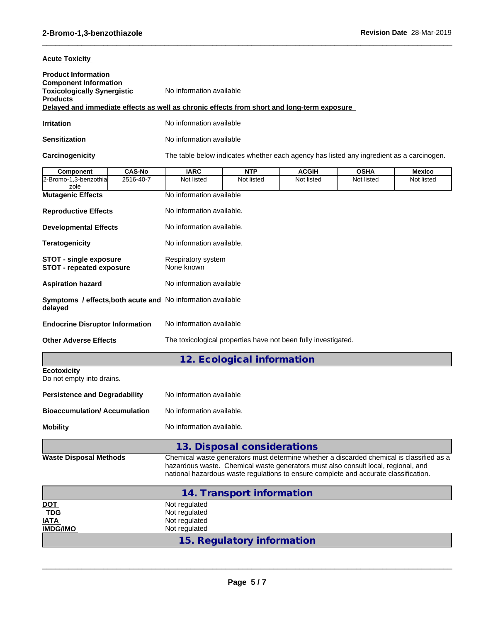## **Acute Toxicity**

| <b>Product Information</b><br><b>Component Information</b><br><b>Toxicologically Synergistic</b><br><b>Products</b> | No information available<br>Delayed and immediate effects as well as chronic effects from short and long-term exposure |
|---------------------------------------------------------------------------------------------------------------------|------------------------------------------------------------------------------------------------------------------------|
| Irritation                                                                                                          | No information available                                                                                               |
| Sensitization                                                                                                       | No information available                                                                                               |

Carcinogenicity The table below indicates whether each agency has listed any ingredient as a carcinogen.

 $\_$  ,  $\_$  ,  $\_$  ,  $\_$  ,  $\_$  ,  $\_$  ,  $\_$  ,  $\_$  ,  $\_$  ,  $\_$  ,  $\_$  ,  $\_$  ,  $\_$  ,  $\_$  ,  $\_$  ,  $\_$  ,  $\_$  ,  $\_$  ,  $\_$  ,  $\_$  ,  $\_$  ,  $\_$  ,  $\_$  ,  $\_$  ,  $\_$  ,  $\_$  ,  $\_$  ,  $\_$  ,  $\_$  ,  $\_$  ,  $\_$  ,  $\_$  ,  $\_$  ,  $\_$  ,  $\_$  ,  $\_$  ,  $\_$  ,

| <b>Component</b>                                                       | <b>CAS-No</b> | <b>IARC</b>                                                                                                                                                                                                                                                           | <b>NTP</b>                  | <b>ACGIH</b> | <b>OSHA</b> | <b>Mexico</b> |
|------------------------------------------------------------------------|---------------|-----------------------------------------------------------------------------------------------------------------------------------------------------------------------------------------------------------------------------------------------------------------------|-----------------------------|--------------|-------------|---------------|
| 2-Bromo-1,3-benzothia<br>zole                                          | 2516-40-7     | Not listed                                                                                                                                                                                                                                                            | Not listed                  | Not listed   | Not listed  | Not listed    |
| <b>Mutagenic Effects</b>                                               |               | No information available                                                                                                                                                                                                                                              |                             |              |             |               |
| <b>Reproductive Effects</b>                                            |               | No information available.                                                                                                                                                                                                                                             |                             |              |             |               |
| <b>Developmental Effects</b>                                           |               | No information available.                                                                                                                                                                                                                                             |                             |              |             |               |
| <b>Teratogenicity</b>                                                  |               | No information available.                                                                                                                                                                                                                                             |                             |              |             |               |
| <b>STOT - single exposure</b><br><b>STOT - repeated exposure</b>       |               | Respiratory system<br>None known                                                                                                                                                                                                                                      |                             |              |             |               |
| <b>Aspiration hazard</b>                                               |               | No information available                                                                                                                                                                                                                                              |                             |              |             |               |
| Symptoms / effects, both acute and No information available<br>delayed |               |                                                                                                                                                                                                                                                                       |                             |              |             |               |
| <b>Endocrine Disruptor Information</b>                                 |               | No information available                                                                                                                                                                                                                                              |                             |              |             |               |
| <b>Other Adverse Effects</b>                                           |               | The toxicological properties have not been fully investigated.                                                                                                                                                                                                        |                             |              |             |               |
|                                                                        |               |                                                                                                                                                                                                                                                                       | 12. Ecological information  |              |             |               |
| <b>Ecotoxicity</b><br>Do not empty into drains.                        |               |                                                                                                                                                                                                                                                                       |                             |              |             |               |
| <b>Persistence and Degradability</b>                                   |               | No information available                                                                                                                                                                                                                                              |                             |              |             |               |
| <b>Bioaccumulation/Accumulation</b>                                    |               | No information available.                                                                                                                                                                                                                                             |                             |              |             |               |
| <b>Mobility</b>                                                        |               | No information available.                                                                                                                                                                                                                                             |                             |              |             |               |
|                                                                        |               |                                                                                                                                                                                                                                                                       | 13. Disposal considerations |              |             |               |
| <b>Waste Disposal Methods</b>                                          |               | Chemical waste generators must determine whether a discarded chemical is classified as a<br>hazardous waste. Chemical waste generators must also consult local, regional, and<br>national hazardous waste regulations to ensure complete and accurate classification. |                             |              |             |               |
|                                                                        |               |                                                                                                                                                                                                                                                                       | 14. Transport information   |              |             |               |
| <u>DOT</u>                                                             |               | Not regulated                                                                                                                                                                                                                                                         |                             |              |             |               |
| <b>TDG</b>                                                             |               | Not regulated                                                                                                                                                                                                                                                         |                             |              |             |               |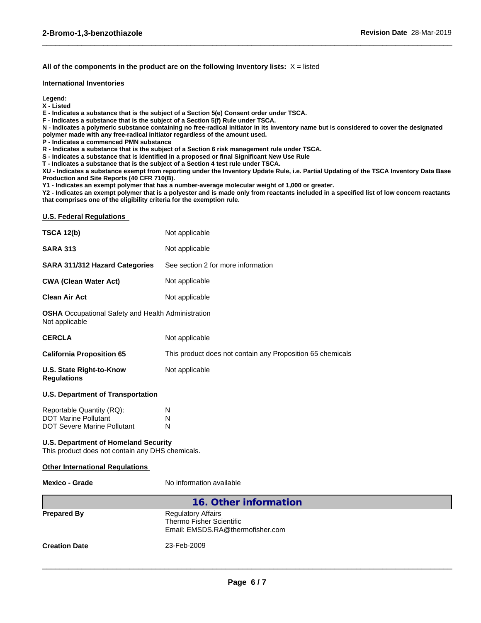#### **All of the components in the product are on the following Inventory lists:** X = listed

#### **International Inventories**

**Legend:**

**X - Listed**

**E - Indicates a substance that is the subject of a Section 5(e) Consent order under TSCA.**

**F - Indicates a substance that is the subject of a Section 5(f) Rule under TSCA.**

**N - Indicates a polymeric substance containing no free-radical initiator in its inventory name but is considered to cover the designated polymer made with any free-radical initiator regardless of the amount used.**

 $\_$  ,  $\_$  ,  $\_$  ,  $\_$  ,  $\_$  ,  $\_$  ,  $\_$  ,  $\_$  ,  $\_$  ,  $\_$  ,  $\_$  ,  $\_$  ,  $\_$  ,  $\_$  ,  $\_$  ,  $\_$  ,  $\_$  ,  $\_$  ,  $\_$  ,  $\_$  ,  $\_$  ,  $\_$  ,  $\_$  ,  $\_$  ,  $\_$  ,  $\_$  ,  $\_$  ,  $\_$  ,  $\_$  ,  $\_$  ,  $\_$  ,  $\_$  ,  $\_$  ,  $\_$  ,  $\_$  ,  $\_$  ,  $\_$  ,

**P - Indicates a commenced PMN substance**

**R - Indicates a substance that is the subject of a Section 6 risk management rule under TSCA.**

**S - Indicates a substance that is identified in a proposed or final Significant New Use Rule**

**T - Indicates a substance that is the subject of a Section 4 test rule under TSCA.**

**XU - Indicates a substance exempt from reporting under the Inventory Update Rule, i.e. Partial Updating of the TSCA Inventory Data Base Production and Site Reports (40 CFR 710(B).**

**Y1 - Indicates an exempt polymer that has a number-average molecular weight of 1,000 or greater.**

**Y2 - Indicates an exempt polymer that is a polyester and is made only from reactants included in a specified list of low concern reactants that comprises one of the eligibility criteria for the exemption rule.**

#### **U.S. Federal Regulations**

| <b>TSCA 12(b)</b>                                                                               | Not applicable                                             |
|-------------------------------------------------------------------------------------------------|------------------------------------------------------------|
| <b>SARA 313</b>                                                                                 | Not applicable                                             |
| <b>SARA 311/312 Hazard Categories</b>                                                           | See section 2 for more information                         |
| <b>CWA (Clean Water Act)</b>                                                                    | Not applicable                                             |
| <b>Clean Air Act</b>                                                                            | Not applicable                                             |
| <b>OSHA</b> Occupational Safety and Health Administration<br>Not applicable                     |                                                            |
| <b>CERCLA</b>                                                                                   | Not applicable                                             |
| <b>California Proposition 65</b>                                                                | This product does not contain any Proposition 65 chemicals |
| U.S. State Right-to-Know<br><b>Regulations</b>                                                  | Not applicable                                             |
| <b>U.S. Department of Transportation</b>                                                        |                                                            |
| Reportable Quantity (RQ):<br><b>DOT Marine Pollutant</b><br><b>DOT Severe Marine Pollutant</b>  | N<br>N<br>N                                                |
| <b>U.S. Department of Homeland Security</b><br>This product does not contain any DHS chemicals. |                                                            |
| <b>Other International Regulations</b>                                                          |                                                            |
| <b>Mexico - Grade</b>                                                                           | No information available                                   |

|                      | 16. Other information                                                                     |  |
|----------------------|-------------------------------------------------------------------------------------------|--|
| <b>Prepared By</b>   | <b>Regulatory Affairs</b><br>Thermo Fisher Scientific<br>Email: EMSDS.RA@thermofisher.com |  |
| <b>Creation Date</b> | 23-Feb-2009                                                                               |  |
|                      |                                                                                           |  |